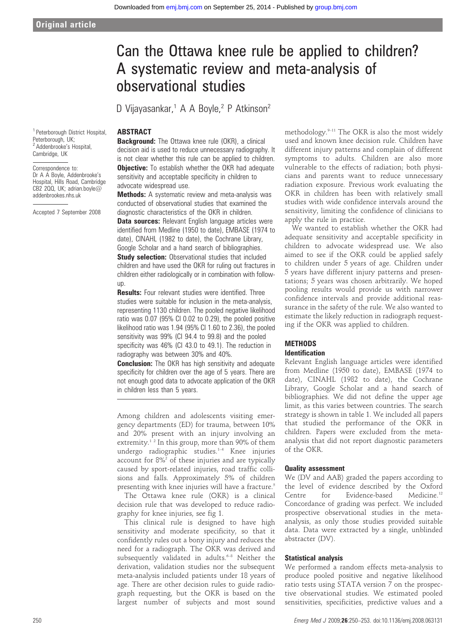# Can the Ottawa knee rule be applied to children? A systematic review and meta-analysis of observational studies

D Vijayasankar,<sup>1</sup> A A Boyle,<sup>2</sup> P Atkinson<sup>2</sup>

# ABSTRACT

**Background:** The Ottawa knee rule (OKR), a clinical decision aid is used to reduce unnecessary radiography. It is not clear whether this rule can be applied to children. **Objective:** To establish whether the OKR had adequate sensitivity and acceptable specificity in children to advocate widespread use.

**Methods:** A systematic review and meta-analysis was conducted of observational studies that examined the diagnostic characteristics of the OKR in children.

**Data sources:** Relevant English language articles were identified from Medline (1950 to date), EMBASE (1974 to date), CINAHL (1982 to date), the Cochrane Library, Google Scholar and a hand search of bibliographies.

**Study selection:** Observational studies that included children and have used the OKR for ruling out fractures in children either radiologically or in combination with followup.

**Results:** Four relevant studies were identified. Three studies were suitable for inclusion in the meta-analysis, representing 1130 children. The pooled negative likelihood ratio was 0.07 (95% CI 0.02 to 0.29), the pooled positive likelihood ratio was 1.94 (95% CI 1.60 to 2.36), the pooled sensitivity was 99% (CI 94.4 to 99.8) and the pooled specificity was 46% (CI 43.0 to 49.1). The reduction in radiography was between 30% and 40%.

**Conclusion:** The OKR has high sensitivity and adequate specificity for children over the age of 5 years. There are not enough good data to advocate application of the OKR in children less than 5 years.

Among children and adolescents visiting emergency departments (ED) for trauma, between 10% and 20% present with an injury involving an extremity.<sup>12</sup> In this group, more than  $90\%$  of them undergo radiographic studies.<sup>1-4</sup> Knee injuries account for  $8\%$ <sup>2</sup> of these injuries and are typically caused by sport-related injuries, road traffic collisions and falls. Approximately 5% of children presenting with knee injuries will have a fracture.<sup>5</sup>

The Ottawa knee rule (OKR) is a clinical decision rule that was developed to reduce radiography for knee injuries, see fig 1.

This clinical rule is designed to have high sensitivity and moderate specificity, so that it confidently rules out a bony injury and reduces the need for a radiograph. The OKR was derived and subsequently validated in adults.<sup>6-8</sup> Neither the derivation, validation studies nor the subsequent meta-analysis included patients under 18 years of age. There are other decision rules to guide radiograph requesting, but the OKR is based on the largest number of subjects and most sound

methodology. $9-11$  The OKR is also the most widely used and known knee decision rule. Children have different injury patterns and complain of different symptoms to adults. Children are also more vulnerable to the effects of radiation; both physicians and parents want to reduce unnecessary radiation exposure. Previous work evaluating the OKR in children has been with relatively small studies with wide confidence intervals around the sensitivity, limiting the confidence of clinicians to apply the rule in practice.

We wanted to establish whether the OKR had adequate sensitivity and acceptable specificity in children to advocate widespread use. We also aimed to see if the OKR could be applied safely to children under 5 years of age. Children under 5 years have different injury patterns and presentations; 5 years was chosen arbitrarily. We hoped pooling results would provide us with narrower confidence intervals and provide additional reassurance in the safety of the rule. We also wanted to estimate the likely reduction in radiograph requesting if the OKR was applied to children.

# **METHODS** Identification

Relevant English language articles were identified from Medline (1950 to date), EMBASE (1974 to date), CINAHL (1982 to date), the Cochrane Library, Google Scholar and a hand search of bibliographies. We did not define the upper age limit, as this varies between countries. The search strategy is shown in table 1. We included all papers that studied the performance of the OKR in children. Papers were excluded from the metaanalysis that did not report diagnostic parameters of the OKR.

#### Quality assessment

We (DV and AAB) graded the papers according to the level of evidence described by the Oxford Centre for Evidence-based Medicine.<sup>12</sup> Concordance of grading was perfect. We included prospective observational studies in the metaanalysis, as only those studies provided suitable data. Data were extracted by a single, unblinded abstracter (DV).

# Statistical analysis

We performed a random effects meta-analysis to produce pooled positive and negative likelihood ratio tests using STATA version 7 on the prospective observational studies. We estimated pooled sensitivities, specificities, predictive values and a

### <sup>1</sup> Peterborough District Hospital, Peterborough, UK; <sup>2</sup> Addenbrooke's Hospital, Cambridge, UK

Correspondence to: Dr A A Boyle, Addenbrooke's Hospital, Hills Road, Cambridge CB2 200, UK; adrian.boyle $@$ addenbrookes.nhs.uk

Accepted 7 September 2008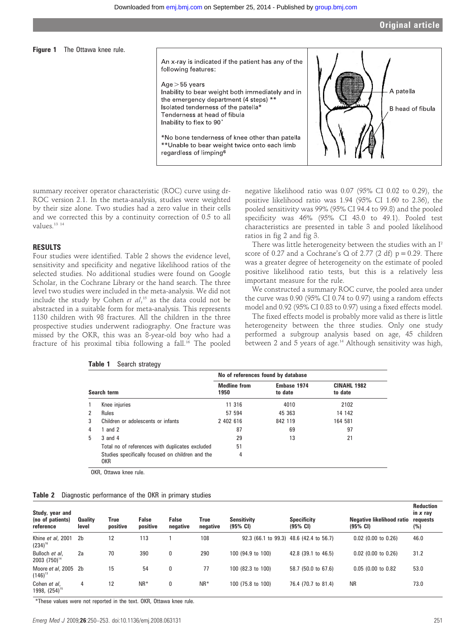

summary receiver operator characteristic (ROC) curve using dr-ROC version 2.1. In the meta-analysis, studies were weighted by their size alone. Two studies had a zero value in their cells and we corrected this by a continuity correction of 0.5 to all values<sup>13</sup><sup>14</sup>

# RESULTS

Four studies were identified. Table 2 shows the evidence level, sensitivity and specificity and negative likelihood ratios of the selected studies. No additional studies were found on Google Scholar, in the Cochrane Library or the hand search. The three level two studies were included in the meta-analysis. We did not include the study by Cohen et  $al, ^{15}$  as the data could not be abstracted in a suitable form for meta-analysis. This represents 1130 children with 98 fractures. All the children in the three prospective studies underwent radiography. One fracture was missed by the OKR, this was an 8-year-old boy who had a fracture of his proximal tibia following a fall.<sup>16</sup> The pooled

negative likelihood ratio was 0.07 (95% CI 0.02 to 0.29), the positive likelihood ratio was 1.94 (95% CI 1.60 to 2.36), the pooled sensitivity was 99% (95% CI 94.4 to 99.8) and the pooled specificity was 46% (95% CI 43.0 to 49.1). Pooled test characteristics are presented in table 3 and pooled likelihood ratios in fig 2 and fig 3.

There was little heterogeneity between the studies with an I2 score of 0.27 and a Cochrane's Q of 2.77 (2 df)  $p = 0.29$ . There was a greater degree of heterogeneity on the estimate of pooled positive likelihood ratio tests, but this is a relatively less important measure for the rule.

We constructed a summary ROC curve, the pooled area under the curve was 0.90 (95% CI 0.74 to 0.97) using a random effects model and 0.92 (95% CI 0.83 to 0.97) using a fixed effects model.

The fixed effects model is probably more valid as there is little heterogeneity between the three studies. Only one study performed a subgroup analysis based on age, 45 children between 2 and 5 years of age.14 Although sensitivity was high,

|   |                                                         | No of references found by database |                        |                               |  |  |
|---|---------------------------------------------------------|------------------------------------|------------------------|-------------------------------|--|--|
|   | Search term                                             | <b>Medline from</b><br>1950        | Embase 1974<br>to date | <b>CINAHL 1982</b><br>to date |  |  |
|   | Knee injuries                                           | 11 316                             | 4010                   | 2102                          |  |  |
| 2 | <b>Rules</b>                                            | 57 594                             | 45 363                 | 14 142                        |  |  |
| 3 | Children or adolescents or infants                      | 2 402 616                          | 842 119                | 164 581                       |  |  |
| 4 | 1 and 2                                                 | 87                                 | 69                     | 97                            |  |  |
| 5 | $3$ and $4$                                             | 29                                 | 13                     | 21                            |  |  |
|   | Total no of references with duplicates excluded         | 51                                 |                        |                               |  |  |
|   | Studies specifically focused on children and the<br>OKR | 4                                  |                        |                               |  |  |

#### Table 1 Search strategy

OKR, Ottawa knee rule.

| Table 2 |  | Diagnostic performance of the OKR in primary studies |  |  |  |  |  |
|---------|--|------------------------------------------------------|--|--|--|--|--|
|---------|--|------------------------------------------------------|--|--|--|--|--|

| Study, year and<br>(no of patients)<br>reference | <b>Quality</b><br>level | True<br>positive | False<br>positive | False<br>negative | True<br>negative | <b>Sensitivity</b><br>$(95% \; \text{Cl})$ | <b>Specificity</b><br>$(95% \; \text{CI})$ | Negative likelihood ratio<br>$(95% \; \text{Cl})$ | <b>Reduction</b><br>in x ray<br>requests<br>(%) |
|--------------------------------------------------|-------------------------|------------------|-------------------|-------------------|------------------|--------------------------------------------|--------------------------------------------|---------------------------------------------------|-------------------------------------------------|
| Khine et al, 2001<br>$(234)^{16}$                | 2 <sub>b</sub>          | 12               | 113               |                   | 108              |                                            | 92.3 (66.1 to 99.3) 48.6 (42.4 to 56.7)    | $0.02$ (0.00 to 0.26)                             | 46.0                                            |
| Bulloch et al,<br>$2003$ $(750)^{14}$            | 2a                      | 70               | 390               | 0                 | 290              | 100 (94.9 to 100)                          | 42.8 (39.1 to 46.5)                        | $0.02$ (0.00 to 0.26)                             | 31.2                                            |
| Moore et al, 2005 2b<br>$(146)^{13}$             |                         | 15               | 54                | 0                 | 77               | 100 (82.3 to 100)                          | 58.7 (50.0 to 67.6)                        | $0.05$ (0.00 to 0.82                              | 53.0                                            |
| Cohen et al,<br>1998, $(254)^{15}$               | 4                       | 12               | $NR^*$            | 0                 | $NR^*$           | 100 (75.8 to 100)                          | 76.4 (70.7 to 81.4)                        | <b>NR</b>                                         | 73.0                                            |

\*These values were not reported in the text. OKR, Ottawa knee rule.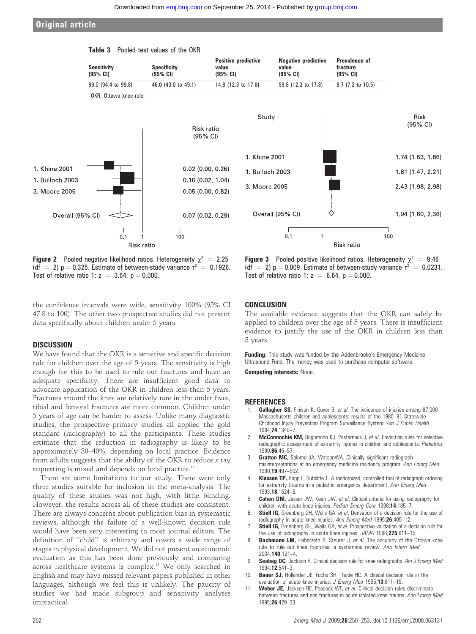Positive predictive

value (95% CI)

# Original article

**Sensitivity** (95% CI)



Table 3 Pooled test values of the OKR

**Specificity** (95% CI)



Prevalence of fracture (95% CI)

Negative predictive

value (95% CI)

**Figure 2** Pooled negative likelihood ratios. Heterogeneity  $\chi^2 = 2.25$ (df = 2)  $p = 0.325$ . Estimate of between-study variance  $\tau^2 = 0.1926$ . Test of relative ratio 1:  $z = 3.64$ ,  $p = 0.000$ .

the confidence intervals were wide, sensitivity 100% (95% CI 47.8 to 100). The other two prospective studies did not present data specifically about children under 5 years.

#### **DISCUSSION**

We have found that the OKR is a sensitive and specific decision rule for children over the age of 5 years. The sensitivity is high enough for this to be used to rule out fractures and have an adequate specificity. There are insufficient good data to advocate application of the OKR in children less than 5 years. Fractures around the knee are relatively rare in the under fives, tibial and femoral fractures are more common. Children under 5 years of age can be harder to assess. Unlike many diagnostic studies, the prospective primary studies all applied the gold standard (radiography) to all the participants. These studies estimate that the reduction in radiography is likely to be approximately 30–40%, depending on local practice. Evidence from adults suggests that the ability of the OKR to reduce x ray requesting is mixed and depends on local practice.17

There are some limitations to our study. There were only three studies suitable for inclusion in the meta-analysis. The quality of these studies was not high, with little blinding. However, the results across all of these studies are consistent. There are always concerns about publication bias in systematic reviews, although the failure of a well-known decision rule would have been very interesting to most journal editors. The definition of ''child'' is arbitrary and covers a wide range of stages in physical development. We did not present an economic evaluation as this has been done previously and comparing across healthcare systems is complex.18 We only searched in English and may have missed relevant papers published in other languages, although we feel this is unlikely. The paucity of studies we had made subgroup and sensitivity analyses impractical.

**Figure 3** Pooled positive likelihood ratios. Heterogeneity  $\chi^2 = 9.46$ (df = 2)  $p = 0.009$ . Estimate of between-study variance  $\tau^2 = 0.0231$ . Test of relative ratio 1:  $z = 6.64$ ,  $p = 0.000$ .

# **CONCLUSION**

The available evidence suggests that the OKR can safely be applied to children over the age of 5 years. There is insufficient evidence to justify the use of the OKR in children less than 5 years.

Funding: This study was funded by the Addenbrooke's Emergency Medicine Ultrasound Fund. The money was used to purchase computer software.

Competing interests: None.

#### **REFERENCES**

- Gallagher SS, Finison K, Guyer B, et al. The incidence of injuries among 87,000 Massachusetts children and adolescents: results of the 1980–81 Statewide Childhood Injury Prevention Program Surveillance System. Am J Public Health 1984;74:1340–7.
- McConnochie KM, Roghmann KJ, Pasternack J, et al. Prediction rules for selective radiographic assessment of extremity injuries in children and adolescents. Pediatrics 1990;86:45–57.
- 3. Gratton MC, Salome JA, WatsonWA. Clinically significant radiograph misinterpretations at an emergency medicine residency program. Ann Emerg Med 1990;19:497–502.
- 4. **Klassen TP,** Ropp L, Sutcliffe T. A randomized, controlled trial of radiograph ordering for extremity trauma in a pediatric emergency department. Ann Emerg Med 1993;18:1524–9.
- 5. **Cohen DM,** Jasser JW, Kean JW, et al. Clinical criteria for using radiography for children with acute knee injuries. Pediatr Emerg Care 1998;14:185-7.
- 6. Stiell IG, Greenberg GH, Wells GA, et al. Derivation of a decision rule for the use of radiography in acute knee injuries. Ann Emerg Med 1995;26:405-12.
- Stiell IG, Greenberg GH, Wells GA, et al. Prospective validation of a decision rule for the use of radiography in acute knee injuries. JAMA 1996;275:611-15.
- 8. **Bachmann LM, Haberzeth S, Steurer J, et al. The accuracy of the Ottawa knee** rule to rule out knee fractures: a systematic review. Ann Intern Med 2004;140:121–4.
- 9. Seabag DC, Jackson R. Clinical decision rule for knee radiographs. Am J Emerg Med 1994;12:541–3.
- 10. **Bauer SJ, Hollander JE, Fuchs SH, Thode HC. A clinical decision rule in the** evaluation of acute knee injuries. J Emerg Med 1995;13:611-15.
- 11. Weber JE, Jackson RE, Peacock WF, et al. Clinical decision rules discriminate between fractures and non fractures in acute isolated knee trauma. Ann Emerg Med 1995;26:429–33.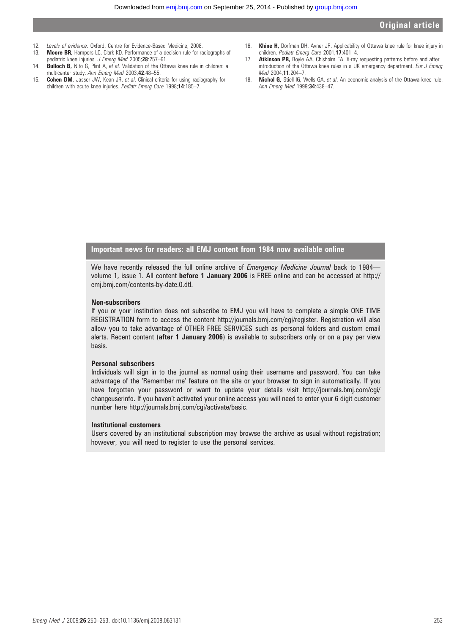Downloaded from [emj.bmj.com](http://emj.bmj.com/) on September 25, 2014 - Published by [group.bmj.com](http://group.bmj.com/)

- 12. Levels of evidence. Oxford: Centre for Evidence-Based Medicine, 2008.
- 13. **Moore BR, Hampers LC, Clark KD. Performance of a decision rule for radiographs of** pediatric knee injuries. J Emerg Med 2005;28:257-61.
- 14. **Bulloch B,** Nito G, Plint A, et al. Validation of the Ottawa knee rule in children: a multicenter study. Ann Emerg Med 2003;42:48–55.
- 15. **Cohen DM,** Jasser JW, Kean JR, et al. Clinical criteria for using radiography for children with acute knee injuries. Pediatr Emerg Care 1998;14:185-7.
- 16. Khine H, Dorfman DH, Avner JR. Applicability of Ottawa knee rule for knee injury in children. Pediatr Emerg Care 2001;17:401-4.
- 17. **Atkinson PR,** Boyle AA, Chisholm EA. X-ray requesting patterns before and after introduction of the Ottawa knee rules in a UK emergency department. Eur J Emerg Med 2004;11:204–7.
- 18. Nichol G, Stiell IG, Wells GA, et al. An economic analysis of the Ottawa knee rule. Ann Emerg Med 1999;34:438-47.

Important news for readers: all EMJ content from 1984 now available online

We have recently released the full online archive of *Emergency Medicine Journal* back to 1984– volume 1, issue 1. All content before 1 January 2006 is FREE online and can be accessed at http:// emj.bmj.com/contents-by-date.0.dtl.

#### Non-subscribers

If you or your institution does not subscribe to EMJ you will have to complete a simple ONE TIME REGISTRATION form to access the content http://journals.bmj.com/cgi/register. Registration will also allow you to take advantage of OTHER FREE SERVICES such as personal folders and custom email alerts. Recent content (after 1 January 2006) is available to subscribers only or on a pay per view basis.

#### Personal subscribers

Individuals will sign in to the journal as normal using their username and password. You can take advantage of the 'Remember me' feature on the site or your browser to sign in automatically. If you have forgotten your password or want to update your details visit http://journals.bmj.com/cgi/ changeuserinfo. If you haven't activated your online access you will need to enter your 6 digit customer number here http://journals.bmj.com/cgi/activate/basic.

#### Institutional customers

Users covered by an institutional subscription may browse the archive as usual without registration; however, you will need to register to use the personal services.